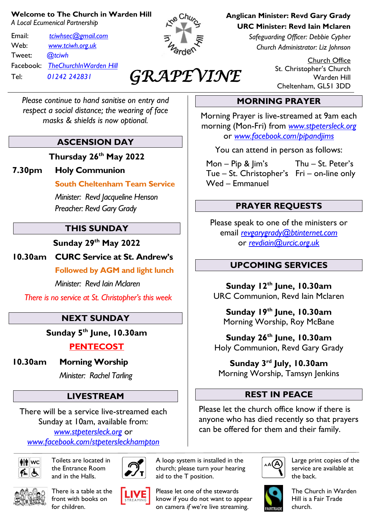#### **Welcome to The Church in Warden Hill**

*A Local Ecumenical Partnership*

Email: *[tciwhsec@gmail.com](mailto:tciwhsec@gmail.com)* Web: *[www.tciwh.org.uk](http://www.tciwh.org.uk/)* Tweet: *@tciwh* Facebook: *TheChurchInWarden Hill* Tel: *01242 242831*



*GRAPEVINE* 

*Please continue to hand sanitise on entry and respect a social distance; the wearing of face masks & shields is now optional.*

### **ASCENSION DAY**

**Thursday 26th May 2022**

### **7.30pm Holy Communion**

**South Cheltenham Team Service**

*Minister: Revd Jacqueline Henson Preacher: Revd Gary Grady*

### **THIS SUNDAY**

**Sunday 29th May 2022**

**10.30am CURC Service at St. Andrew's**

**Followed by AGM and light lunch**

*Minister: Revd Iain Mclaren*

*There is no service at St. Christopher's this week*

# **NEXT SUNDAY**

**Sunday 5th June, 10.30am**

# **PENTECOST**

**10.30am Morning Worship**

*Minister: Rachel Tarling*

# **LIVESTREAM**

There will be a service live-streamed each Sunday at 10am, available from: *[www.stpetersleck.org](http://www.stpetersleck.org/)* or *[www.facebook.com/stpetersleckhampton](http://www.facebook.com/stpetersleckhampton)*



Toilets are located in the Entrance Room and in the Halls.



There is a table at the front with books on for children.





church; please turn your hearing aid to the T position.

A loop system is installed in the

Please let one of the stewards know if you do not want to appear on camera *if* we're live streaming.

**Anglican Minister: Revd Gary Grady URC Minister: Revd Iain Mclaren**

> *Safeguarding Officer: Debbie Cypher Church Administrator: Liz Johnson*

> > Church Office St. Christopher's Church Warden Hill Cheltenham, GL51 3DD

# **MORNING PRAYER**

Morning Prayer is live-streamed at 9am each morning (Mon-Fri) from *[www.stpetersleck.org](http://www.stpetersleck.org/)* or *[www.facebook.com/pipandjims](http://www.facebook.com/pipandjims)*

You can attend in person as follows:

 Mon – Pip & Jim's Thu – St. Peter's Tue – St. Christopher's Fri – on-line only Wed – Emmanuel

# **PRAYER REQUESTS**

Please speak to one of the ministers or email *[revgarygrady@btinternet.com](mailto:revgarygrady@btinternet.com)* or *[revdiain@urcic.org.uk](mailto:revdiain@urcic.org.uk)*

### **UPCOMING SERVICES**

**Sunday 12th June, 10.30am** URC Communion, Revd Iain Mclaren

**Sunday 19th June, 10.30am** Morning Worship, Roy McBane

**Sunday 26th June, 10.30am** Holy Communion, Revd Gary Grady

**Sunday 3 rd July, 10.30am** Morning Worship, Tamsyn Jenkins

### **REST IN PEACE**

Please let the church office know if there is anyone who has died recently so that prayers can be offered for them and their family.



Large print copies of the service are available at the back.



The Church in Warden Hill is a Fair Trade church.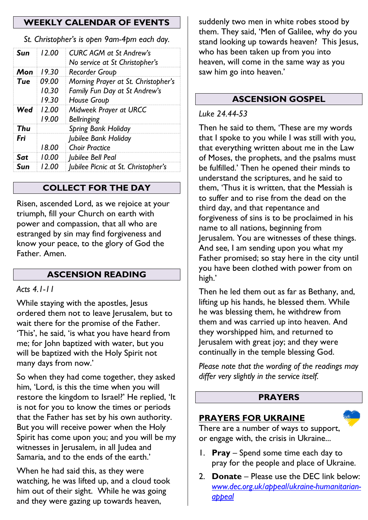### **WEEKLY CALENDAR OF EVENTS**

*St. Christopher's is open 9am-4pm each day.*

| Sun | 12.00                   | <b>CURC AGM at St Andrew's</b><br>No service at St Christopher's                    |
|-----|-------------------------|-------------------------------------------------------------------------------------|
| Mon | 19.30                   | Recorder Group                                                                      |
| Tue | 09.00<br>10.30<br>19.30 | Morning Prayer at St. Christopher's<br>Family Fun Day at St Andrew's<br>House Group |
| Wed | 12.00<br>19.00          | Midweek Prayer at URCC<br><b>Bellringing</b>                                        |
| Thu |                         | <b>Spring Bank Holiday</b>                                                          |
| Fri | 18.00                   | Jubilee Bank Holiday<br><b>Choir Practice</b>                                       |
| Sat | 10.00                   | Jubilee Bell Peal                                                                   |
| Sun | 12.00                   | Jubilee Picnic at St. Christopher's                                                 |

#### **COLLECT FOR THE DAY**

Risen, ascended Lord, as we rejoice at your triumph, fill your Church on earth with power and compassion, that all who are estranged by sin may find forgiveness and know your peace, to the glory of God the Father. Amen.

#### **ASCENSION READING**

#### *Acts 4.1-11*

While staying with the apostles, Jesus ordered them not to leave Jerusalem, but to wait there for the promise of the Father. 'This', he said, 'is what you have heard from me; for John baptized with water, but you will be baptized with the Holy Spirit not many days from now.'

So when they had come together, they asked him, 'Lord, is this the time when you will restore the kingdom to Israel?' He replied, 'It is not for you to know the times or periods that the Father has set by his own authority. But you will receive power when the Holy Spirit has come upon you; and you will be my witnesses in Jerusalem, in all Judea and Samaria, and to the ends of the earth.'

When he had said this, as they were watching, he was lifted up, and a cloud took him out of their sight. While he was going and they were gazing up towards heaven,

suddenly two men in white robes stood by them. They said, 'Men of Galilee, why do you stand looking up towards heaven? This Jesus, who has been taken up from you into heaven, will come in the same way as you saw him go into heaven.'

#### **ASCENSION GOSPEL**

#### *Luke 24.44-53*

Then he said to them, 'These are my words that I spoke to you while I was still with you, that everything written about me in the Law of Moses, the prophets, and the psalms must be fulfilled.' Then he opened their minds to understand the scriptures, and he said to them, 'Thus it is written, that the Messiah is to suffer and to rise from the dead on the third day, and that repentance and forgiveness of sins is to be proclaimed in his name to all nations, beginning from Jerusalem. You are witnesses of these things. And see, I am sending upon you what my Father promised; so stay here in the city until you have been clothed with power from on high.'

Then he led them out as far as Bethany, and, lifting up his hands, he blessed them. While he was blessing them, he withdrew from them and was carried up into heaven. And they worshipped him, and returned to Jerusalem with great joy; and they were continually in the temple blessing God.

*Please note that the wording of the readings may differ very slightly in the service itself.*

#### **PRAYERS**

#### **PRAYERS FOR UKRAINE**



There are a number of ways to support, or engage with, the crisis in Ukraine...

- 1. **Pray** Spend some time each day to pray for the people and place of Ukraine.
- 2. **Donate** Please use the DEC link below: *[www.dec.org.uk/appeal/ukraine-humanitarian](http://www.dec.org.uk/appeal/ukraine-humanitarian-appeal)[appeal](http://www.dec.org.uk/appeal/ukraine-humanitarian-appeal)*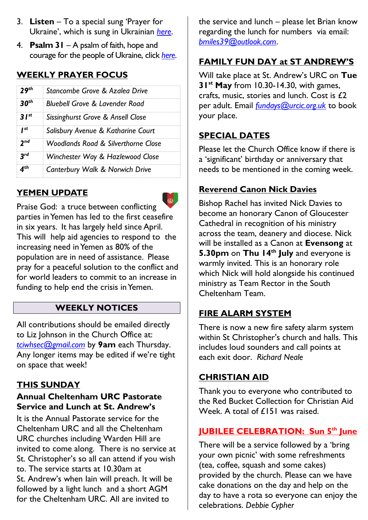- 3. **Listen** To a special sung 'Prayer for Ukraine', which is sung in Ukrainian *[here](https://stpetersleck.org/wp-content/uploads/2022/03/Prayer-for-Ukraine_St-Peters-Choir_MP3.mp3)*.
- 4. **Psalm 31** A psalm of faith, hope and courage for the people of Ukraine, click *[here](https://stpetersleck.org/psalm_31_ukraine-720p/)*.

# **WEEKLY PRAYER FOCUS**

| oth .     | Stancombe Grove & Azalea Drive                 |  |
|-----------|------------------------------------------------|--|
| $2$ nth   | Bluebell Grove & Lavender Road                 |  |
| $21^{st}$ | Sissinghurst Grove & Ansell Close              |  |
| I st      | Salisbury Avenue & Katharine Court             |  |
| end       | <b>Woodlands Road &amp; Silverthorne Close</b> |  |
|           | Winchester Way & Hazlewood Close               |  |
|           | Canterbury Walk & Norwich Drive                |  |

# **YEMEN UPDATE**

 $\widehat{\mathbb{C}}$ Praise God: a truce between conflicting parties in Yemen has led to the first ceasefire in six years. It has largely held since April. This will help aid agencies to respond to the increasing need in Yemen as 80% of the population are in need of assistance. Please pray for a peaceful solution to the conflict and for world leaders to commit to an increase in funding to help end the crisis in Yemen.

### **WEEKLY NOTICES**

All contributions should be emailed directly to Liz Johnson in the Church Office at: *[tciwhsec@gmail.com](mailto:tciwhsec@gmail.com)* by **9am** each Thursday. Any longer items may be edited if we're tight on space that week!

# **THIS SUNDAY**

### **Annual Cheltenham URC Pastorate Service and Lunch at St. Andrew's**

It is the Annual Pastorate service for the Cheltenham URC and all the Cheltenham URC churches including Warden Hill are invited to come along. There is no service at St. Christopher's so all can attend if you wish to. The service starts at 10.30am at St. Andrew's when Iain will preach. It will be followed by a light lunch and a short AGM for the Cheltenham URC. All are invited to

the service and lunch – please let Brian know regarding the lunch for numbers via email: *[bmiles39@outlook.com](mailto:bmiles39@outlook.com)*.

# **FAMILY FUN DAY at ST ANDREW'S**

Will take place at St. Andrew's URC on **Tue 31st May** from 10.30-14.30, with games, crafts, music, stories and lunch. Cost is £2 per adult. Email *[fundays@urcic.org.uk](mailto:fundays@urcic.org.uk)* to book your place.

# **SPECIAL DATES**

Please let the Church Office know if there is a 'significant' birthday or anniversary that needs to be mentioned in the coming week.

# **Reverend Canon Nick Davies**

Bishop Rachel has invited Nick Davies to become an honorary Canon of Gloucester Cathedral in recognition of his ministry across the team, deanery and diocese. Nick will be installed as a Canon at **Evensong** at **5.30pm** on **Thu 14th July** and everyone is warmly invited. This is an honorary role which Nick will hold alongside his continued ministry as Team Rector in the South Cheltenham Team.

# **FIRE ALARM SYSTEM**

There is now a new fire safety alarm system within St Christopher's church and halls. This includes loud sounders and call points at each exit door. *Richard Neale*

### **CHRISTIAN AID**

Thank you to everyone who contributed to the Red Bucket Collection for Christian Aid Week. A total of £151 was raised.

### **JUBILEE CELEBRATION: Sun 5th June**

There will be a service followed by a 'bring your own picnic' with some refreshments (tea, coffee, squash and some cakes) provided by the church. Please can we have cake donations on the day and help on the day to have a rota so everyone can enjoy the celebrations. *Debbie Cypher*